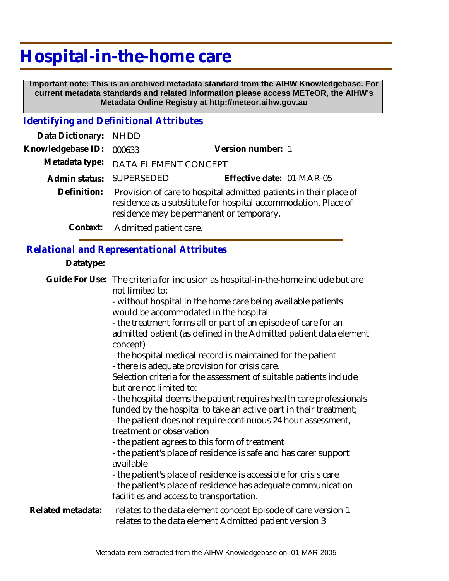# **Hospital-in-the-home care**

 **Important note: This is an archived metadata standard from the AIHW Knowledgebase. For current metadata standards and related information please access METeOR, the AIHW's Metadata Online Registry at http://meteor.aihw.gov.au**

## *Identifying and Definitional Attributes*

| Data Dictionary: NHDD |                                                                                                                                                                                             |                           |  |
|-----------------------|---------------------------------------------------------------------------------------------------------------------------------------------------------------------------------------------|---------------------------|--|
| Knowledgebase ID:     | 000633                                                                                                                                                                                      | Version number: 1         |  |
|                       | Metadata type: DATA ELEMENT CONCEPT                                                                                                                                                         |                           |  |
|                       | Admin status: SUPERSEDED                                                                                                                                                                    | Effective date: 01-MAR-05 |  |
|                       | Definition: Provision of care to hospital admitted patients in their place of<br>residence as a substitute for hospital accommodation. Place of<br>residence may be permanent or temporary. |                           |  |
|                       | Context: Admitted patient care.                                                                                                                                                             |                           |  |

#### *Relational and Representational Attributes*

#### **Datatype:**

|                   | Guide For Use: The criteria for inclusion as hospital-in-the-home include but are<br>not limited to:                                                                          |
|-------------------|-------------------------------------------------------------------------------------------------------------------------------------------------------------------------------|
|                   | - without hospital in the home care being available patients<br>would be accommodated in the hospital                                                                         |
|                   | - the treatment forms all or part of an episode of care for an                                                                                                                |
|                   | admitted patient (as defined in the Admitted patient data element<br>concept)                                                                                                 |
|                   | - the hospital medical record is maintained for the patient<br>- there is adequate provision for crisis care.                                                                 |
|                   | Selection criteria for the assessment of suitable patients include<br>but are not limited to:                                                                                 |
|                   | - the hospital deems the patient requires health care professionals<br>funded by the hospital to take an active part in their treatment;                                      |
|                   | - the patient does not require continuous 24 hour assessment,<br>treatment or observation                                                                                     |
|                   | - the patient agrees to this form of treatment                                                                                                                                |
|                   | - the patient's place of residence is safe and has carer support<br>available                                                                                                 |
|                   | - the patient's place of residence is accessible for crisis care<br>- the patient's place of residence has adequate communication<br>facilities and access to transportation. |
| Related metadata: | relates to the data element concept Episode of care version 1<br>relates to the data element Admitted patient version 3                                                       |